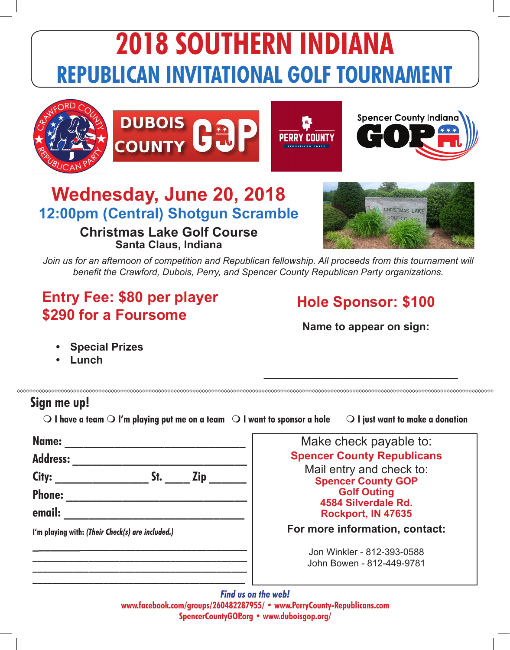







## **Wednesday, June 20, 2018 12:00pm (Central) Shotgun Scramble**

#### **Christmas Lake Golf Course Santa Claus, Indiana**



Join us for an afternoon of competition and Republican fellowship. All proceeds from this tournament will *benefit the Crawford, Dubois, Perry, and Spencer County Republican Party organizations.*

## **Entry Fee: \$80 per player \$290 for a Foursome**

### **Hole Sponsor: \$100**

**Name to appear on sign:**

**\_\_\_\_\_\_\_\_\_\_\_\_\_\_\_\_\_\_\_\_\_\_\_\_\_\_\_\_\_\_\_\_**

- **• Special Prizes**
- **• Lunch**

### **Sign me up!**

 $\Omega$  I have a team  $\Omega$  I'm playing put me on a team  $\Omega$  I want to sponsor a hole  $\Omega$   $\Omega$  I just want to make a donation

| City:                                            | St.<br><b>Zip</b> |
|--------------------------------------------------|-------------------|
| <b>Phone:</b>                                    |                   |
| email:                                           |                   |
| I'm playing with: (Their Check(s) are included.) |                   |

**\_\_\_\_\_\_\_\_\_\_\_\_\_\_\_\_\_\_\_\_\_\_\_\_\_\_\_\_\_\_\_\_\_\_\_\_\_\_\_\_\_\_**

Make check payable to: **Spencer County Republicans** Mail entry and check to: **Spencer County GOP Golf Outing 4584 Silverdale Rd. Rockport, IN 47635**

**For more information, contact:**

Jon Winkler - 812-393-0588 John Bowen - 812-449-9781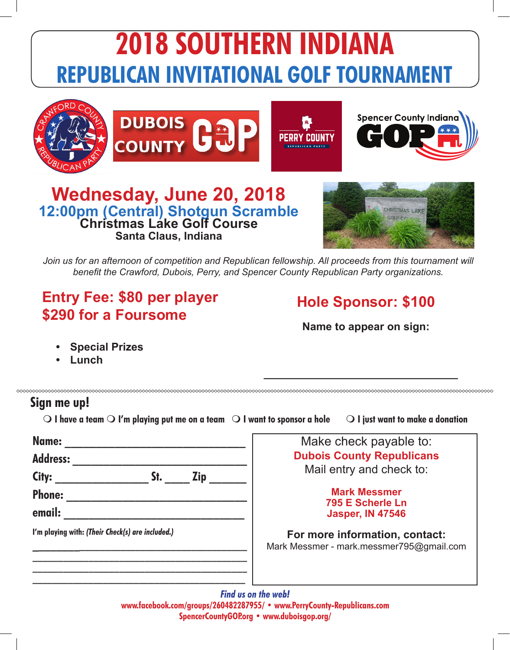







## **Wednesday, June 20, 2018 12:00pm (Central) Shotgun Scramble Christmas Lake Golf Course Santa Claus, Indiana**



Join us for an afternoon of competition and Republican fellowship. All proceeds from this tournament will *benefit the Crawford, Dubois, Perry, and Spencer County Republican Party organizations.*

## **Entry Fee: \$80 per player \$290 for a Foursome**

### **Hole Sponsor: \$100**

**Name to appear on sign:**

**\_\_\_\_\_\_\_\_\_\_\_\_\_\_\_\_\_\_\_\_\_\_\_\_\_\_\_\_\_\_\_\_**

- **• Special Prizes**
- **• Lunch**

#### **Sign me up!**

 $\circ$  I have a team  $\circ$  I'm playing put me on a team  $\circ$  I want to sponsor a hole  $\circ$   $\circ$  I just want to make a donation

| Name:                                            | Make check payable to:                                                     |  |
|--------------------------------------------------|----------------------------------------------------------------------------|--|
| <b>Address:</b>                                  | <b>Dubois County Republicans</b>                                           |  |
| City:<br><b>Zip</b><br>St.                       | Mail entry and check to:                                                   |  |
| <b>Phone:</b>                                    | <b>Mark Messmer</b>                                                        |  |
| email:                                           | 795 E Scherle Ln<br><b>Jasper, IN 47546</b>                                |  |
| I'm playing with: (Their Check(s) are included.) | For more information, contact:<br>Mark Messmer - mark.messmer795@gmail.com |  |
|                                                  |                                                                            |  |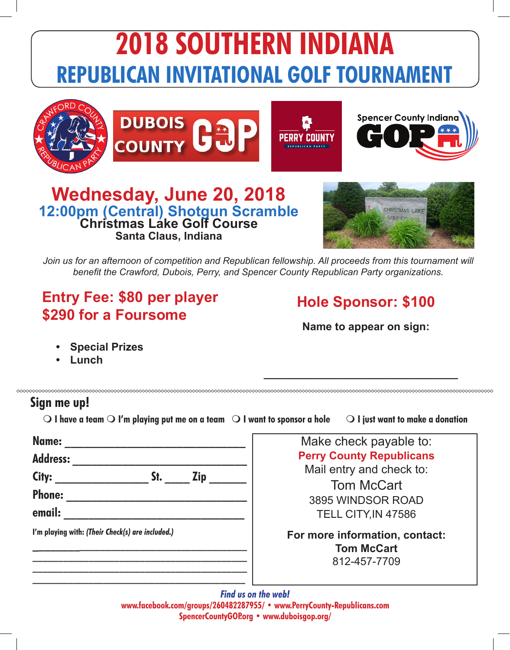







## **Wednesday, June 20, 2018 12:00pm (Central) Shotgun Scramble Christmas Lake Golf Course Santa Claus, Indiana**



Join us for an afternoon of competition and Republican fellowship. All proceeds from this tournament will *benefit the Crawford, Dubois, Perry, and Spencer County Republican Party organizations.*

## **Entry Fee: \$80 per player \$290 for a Foursome**

### **Hole Sponsor: \$100**

**Name to appear on sign:**

**\_\_\_\_\_\_\_\_\_\_\_\_\_\_\_\_\_\_\_\_\_\_\_\_\_\_\_\_\_\_\_\_**

- **• Special Prizes**
- **• Lunch**

#### **Sign me up!**

 $\circ$  I have a team  $\circ$  I'm playing put me on a team  $\circ$  I want to sponsor a hole  $\circ$   $\circ$  I just want to make a donation

| <b>Address:</b>                                  |     |            |
|--------------------------------------------------|-----|------------|
| City:                                            | St. | <b>Zip</b> |
| <b>Phone:</b>                                    |     |            |
| email:                                           |     |            |
| I'm playing with: (Their Check(s) are included.) |     |            |
|                                                  |     |            |
|                                                  |     |            |

**\_\_\_\_\_\_\_\_\_\_\_\_\_\_\_\_\_\_\_\_\_\_\_\_\_\_\_\_\_\_\_\_\_\_\_\_\_\_\_\_\_\_**

Make check payable to: **Perry County Republicans** Mail entry and check to:

Tom McCart 3895 WINDSOR ROAD TELL CITY,IN 47586

**For more information, contact: Tom McCart** 812-457-7709